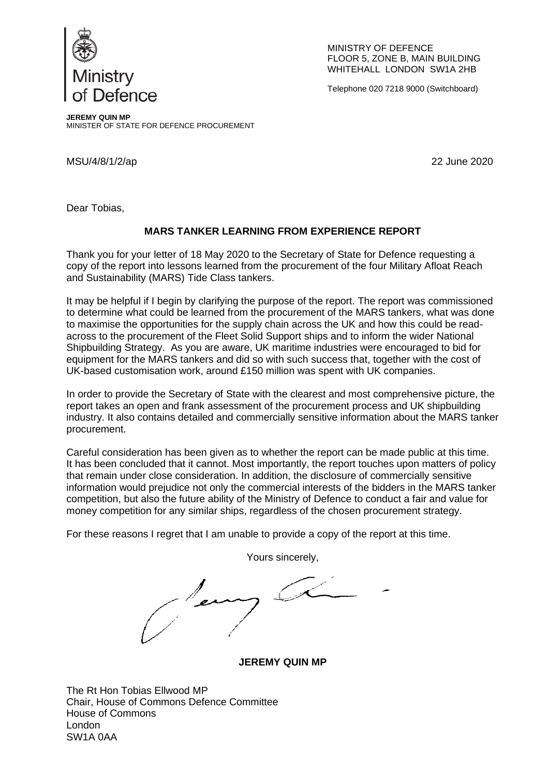

MINISTRY OF DEFENCE FLOOR 5, ZONE B, MAIN BUILDING WHITEHALL LONDON SW1A 2HB

Telephone 020 7218 9000 (Switchboard)

**JEREMY QUIN MP** MINISTER OF STATE FOR DEFENCE PROCUREMENT

MSU/4/8/1/2/ap 22 June 2020

Dear Tobias,

## **MARS TANKER LEARNING FROM EXPERIENCE REPORT**

Thank you for your letter of 18 May 2020 to the Secretary of State for Defence requesting a copy of the report into lessons learned from the procurement of the four Military Afloat Reach and Sustainability (MARS) Tide Class tankers.

It may be helpful if I begin by clarifying the purpose of the report. The report was commissioned to determine what could be learned from the procurement of the MARS tankers, what was done to maximise the opportunities for the supply chain across the UK and how this could be readacross to the procurement of the Fleet Solid Support ships and to inform the wider National Shipbuilding Strategy. As you are aware, UK maritime industries were encouraged to bid for equipment for the MARS tankers and did so with such success that, together with the cost of UK-based customisation work, around £150 million was spent with UK companies.

In order to provide the Secretary of State with the clearest and most comprehensive picture, the report takes an open and frank assessment of the procurement process and UK shipbuilding industry. It also contains detailed and commercially sensitive information about the MARS tanker procurement.

Careful consideration has been given as to whether the report can be made public at this time. It has been concluded that it cannot. Most importantly, the report touches upon matters of policy that remain under close consideration. In addition, the disclosure of commercially sensitive information would prejudice not only the commercial interests of the bidders in the MARS tanker competition, but also the future ability of the Ministry of Defence to conduct a fair and value for money competition for any similar ships, regardless of the chosen procurement strategy.

For these reasons I regret that I am unable to provide a copy of the report at this time.

Yours sincerely,

/en

**JEREMY QUIN MP**

The Rt Hon Tobias Ellwood MP Chair, House of Commons Defence Committee House of Commons London SW1A 0AA